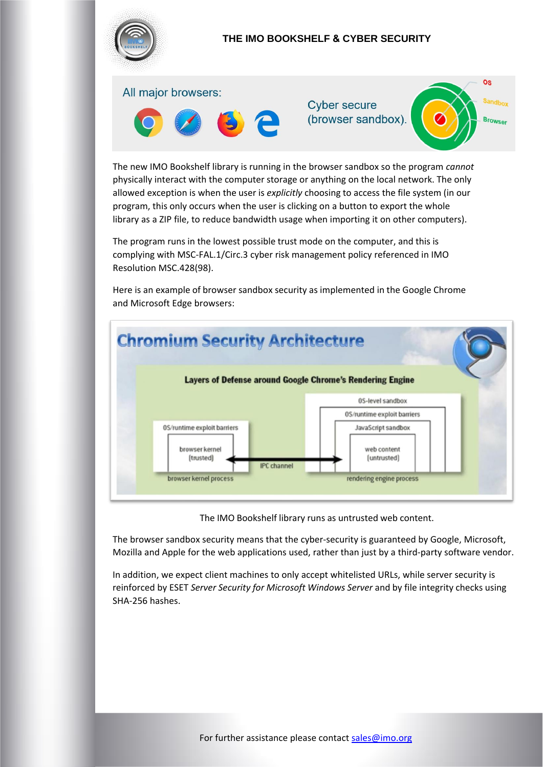

The new IMO Bookshelf library is running in the browser sandbox so the program *cannot*  physically interact with the computer storage or anything on the local network. The only allowed exception is when the user is *explicitly* choosing to access the file system (in our program, this only occurs when the user is clicking on a button to export the whole library as a ZIP file, to reduce bandwidth usage when importing it on other computers).

The program runs in the lowest possible trust mode on the computer, and this is complying with MSC-FAL.1/Circ.3 cyber risk management policy referenced in IMO Resolution MSC.428(98).

Here is an example of browser sandbox security as implemented in the Google Chrome and Microsoft Edge browsers:



The IMO Bookshelf library runs as untrusted web content.

The browser sandbox security means that the cyber-security is guaranteed by Google, Microsoft, Mozilla and Apple for the web applications used, rather than just by a third-party software vendor.

In addition, we expect client machines to only accept whitelisted URLs, while server security is reinforced by ESET *Server Security for Microsoft Windows Server* and by file integrity checks using SHA-256 hashes.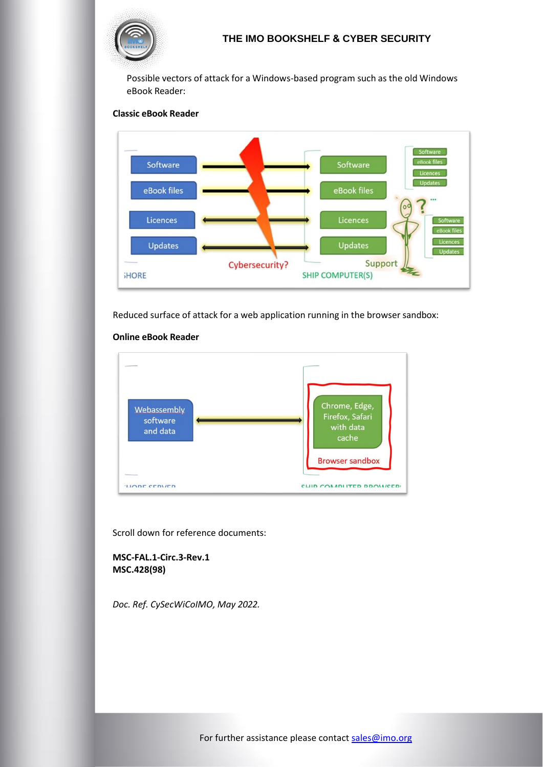

Possible vectors of attack for a Windows-based program such as the old Windows eBook Reader:

#### **Classic eBook Reader**



Reduced surface of attack for a web application running in the browser sandbox:



#### **Online eBook Reader**

Scroll down for reference documents:

**MSC-FAL.1-Circ.3-Rev.1 MSC.428(98)** 

*Doc. Ref. CySecWiCoIMO, May 2022.*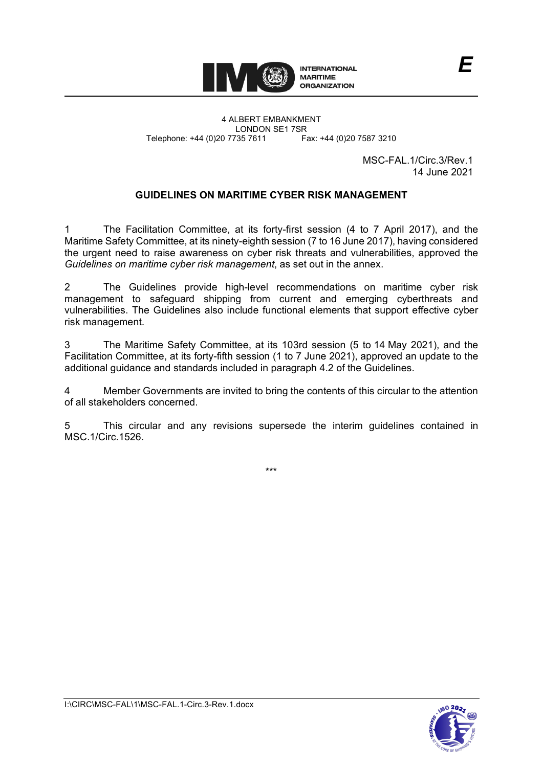

4 ALBERT EMBANKMENT LONDON SE1 7SR<br>735 7611 Fax: +44 (0)20 7587 3210 Telephone: +44 (0)20 7735 7611

> MSC-FAL.1/Circ.3/Rev.1 14 June 2021

*E*

# **GUIDELINES ON MARITIME CYBER RISK MANAGEMENT**

1 The Facilitation Committee, at its forty-first session (4 to 7 April 2017), and the Maritime Safety Committee, at its ninety-eighth session (7 to 16 June 2017), having considered the urgent need to raise awareness on cyber risk threats and vulnerabilities, approved the *Guidelines on maritime cyber risk management*, as set out in the annex.

2 The Guidelines provide high-level recommendations on maritime cyber risk management to safeguard shipping from current and emerging cyberthreats and vulnerabilities. The Guidelines also include functional elements that support effective cyber risk management.

3 The Maritime Safety Committee, at its 103rd session (5 to 14 May 2021), and the Facilitation Committee, at its forty-fifth session (1 to 7 June 2021), approved an update to the additional guidance and standards included in paragraph 4.2 of the Guidelines.

4 Member Governments are invited to bring the contents of this circular to the attention of all stakeholders concerned.

5 This circular and any revisions supersede the interim guidelines contained in MSC.1/Circ.1526.

\*\*\*

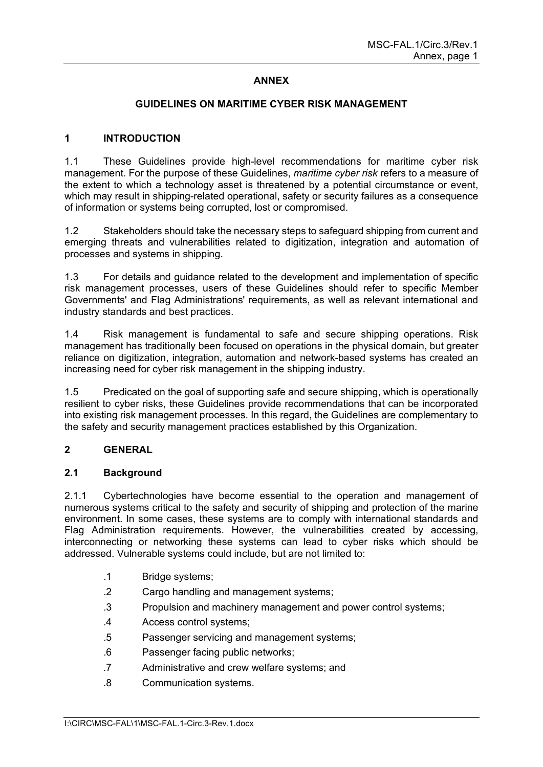# **ANNEX**

### **GUIDELINES ON MARITIME CYBER RISK MANAGEMENT**

### **1 INTRODUCTION**

1.1 These Guidelines provide high-level recommendations for maritime cyber risk management. For the purpose of these Guidelines, *maritime cyber risk* refers to a measure of the extent to which a technology asset is threatened by a potential circumstance or event, which may result in shipping-related operational, safety or security failures as a consequence of information or systems being corrupted, lost or compromised.

1.2 Stakeholders should take the necessary steps to safeguard shipping from current and emerging threats and vulnerabilities related to digitization, integration and automation of processes and systems in shipping.

1.3 For details and guidance related to the development and implementation of specific risk management processes, users of these Guidelines should refer to specific Member Governments' and Flag Administrations' requirements, as well as relevant international and industry standards and best practices.

1.4 Risk management is fundamental to safe and secure shipping operations. Risk management has traditionally been focused on operations in the physical domain, but greater reliance on digitization, integration, automation and network-based systems has created an increasing need for cyber risk management in the shipping industry.

1.5 Predicated on the goal of supporting safe and secure shipping, which is operationally resilient to cyber risks, these Guidelines provide recommendations that can be incorporated into existing risk management processes. In this regard, the Guidelines are complementary to the safety and security management practices established by this Organization.

### **2 GENERAL**

#### **2.1 Background**

2.1.1 Cybertechnologies have become essential to the operation and management of numerous systems critical to the safety and security of shipping and protection of the marine environment. In some cases, these systems are to comply with international standards and Flag Administration requirements. However, the vulnerabilities created by accessing, interconnecting or networking these systems can lead to cyber risks which should be addressed. Vulnerable systems could include, but are not limited to:

- .1 Bridge systems;
- .2 Cargo handling and management systems;
- .3 Propulsion and machinery management and power control systems;
- .4 Access control systems;
- .5 Passenger servicing and management systems;
- .6 Passenger facing public networks;
- .7 Administrative and crew welfare systems; and
- .8 Communication systems.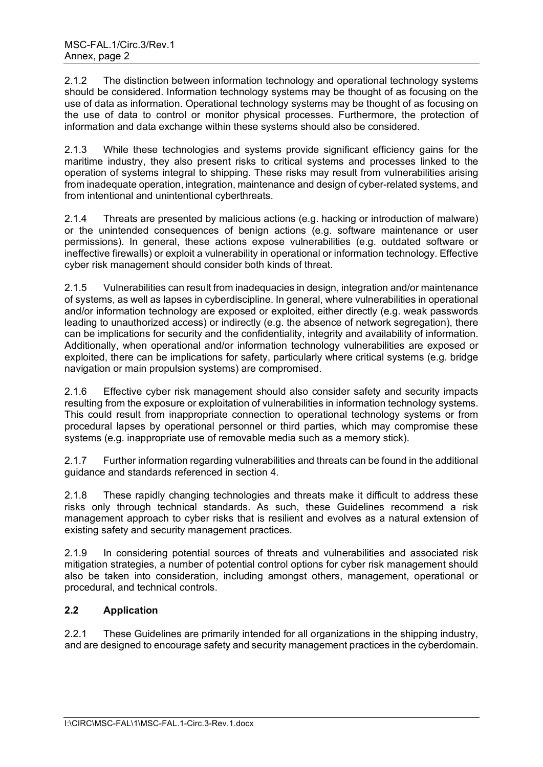2.1.2 The distinction between information technology and operational technology systems should be considered. Information technology systems may be thought of as focusing on the use of data as information. Operational technology systems may be thought of as focusing on the use of data to control or monitor physical processes. Furthermore, the protection of information and data exchange within these systems should also be considered.

2.1.3 While these technologies and systems provide significant efficiency gains for the maritime industry, they also present risks to critical systems and processes linked to the operation of systems integral to shipping. These risks may result from vulnerabilities arising from inadequate operation, integration, maintenance and design of cyber-related systems, and from intentional and unintentional cyberthreats.

2.1.4 Threats are presented by malicious actions (e.g. hacking or introduction of malware) or the unintended consequences of benign actions (e.g. software maintenance or user permissions). In general, these actions expose vulnerabilities (e.g. outdated software or ineffective firewalls) or exploit a vulnerability in operational or information technology. Effective cyber risk management should consider both kinds of threat.

2.1.5 Vulnerabilities can result from inadequacies in design, integration and/or maintenance of systems, as well as lapses in cyberdiscipline. In general, where vulnerabilities in operational and/or information technology are exposed or exploited, either directly (e.g. weak passwords leading to unauthorized access) or indirectly (e.g. the absence of network segregation), there can be implications for security and the confidentiality, integrity and availability of information. Additionally, when operational and/or information technology vulnerabilities are exposed or exploited, there can be implications for safety, particularly where critical systems (e.g. bridge navigation or main propulsion systems) are compromised.

2.1.6 Effective cyber risk management should also consider safety and security impacts resulting from the exposure or exploitation of vulnerabilities in information technology systems. This could result from inappropriate connection to operational technology systems or from procedural lapses by operational personnel or third parties, which may compromise these systems (e.g. inappropriate use of removable media such as a memory stick).

2.1.7 Further information regarding vulnerabilities and threats can be found in the additional guidance and standards referenced in section 4.

2.1.8 These rapidly changing technologies and threats make it difficult to address these risks only through technical standards. As such, these Guidelines recommend a risk management approach to cyber risks that is resilient and evolves as a natural extension of existing safety and security management practices.

2.1.9 In considering potential sources of threats and vulnerabilities and associated risk mitigation strategies, a number of potential control options for cyber risk management should also be taken into consideration, including amongst others, management, operational or procedural, and technical controls.

# **2.2 Application**

2.2.1 These Guidelines are primarily intended for all organizations in the shipping industry, and are designed to encourage safety and security management practices in the cyberdomain.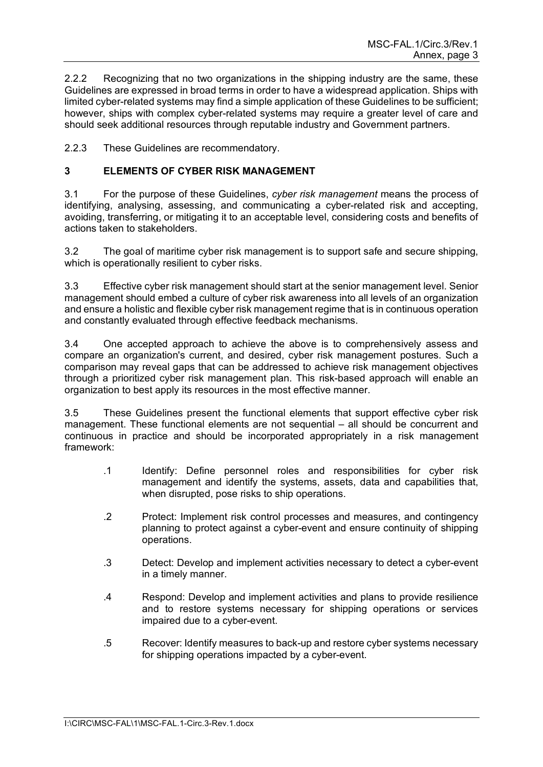2.2.2 Recognizing that no two organizations in the shipping industry are the same, these Guidelines are expressed in broad terms in order to have a widespread application. Ships with limited cyber-related systems may find a simple application of these Guidelines to be sufficient; however, ships with complex cyber-related systems may require a greater level of care and should seek additional resources through reputable industry and Government partners.

2.2.3 These Guidelines are recommendatory.

# **3 ELEMENTS OF CYBER RISK MANAGEMENT**

3.1 For the purpose of these Guidelines, *cyber risk management* means the process of identifying, analysing, assessing, and communicating a cyber-related risk and accepting, avoiding, transferring, or mitigating it to an acceptable level, considering costs and benefits of actions taken to stakeholders.

3.2 The goal of maritime cyber risk management is to support safe and secure shipping, which is operationally resilient to cyber risks.

3.3 Effective cyber risk management should start at the senior management level. Senior management should embed a culture of cyber risk awareness into all levels of an organization and ensure a holistic and flexible cyber risk management regime that is in continuous operation and constantly evaluated through effective feedback mechanisms.

3.4 One accepted approach to achieve the above is to comprehensively assess and compare an organization's current, and desired, cyber risk management postures. Such a comparison may reveal gaps that can be addressed to achieve risk management objectives through a prioritized cyber risk management plan. This risk-based approach will enable an organization to best apply its resources in the most effective manner.

3.5 These Guidelines present the functional elements that support effective cyber risk management. These functional elements are not sequential – all should be concurrent and continuous in practice and should be incorporated appropriately in a risk management framework:

- .1 Identify: Define personnel roles and responsibilities for cyber risk management and identify the systems, assets, data and capabilities that, when disrupted, pose risks to ship operations.
- .2 Protect: Implement risk control processes and measures, and contingency planning to protect against a cyber-event and ensure continuity of shipping operations.
- .3 Detect: Develop and implement activities necessary to detect a cyber-event in a timely manner.
- .4 Respond: Develop and implement activities and plans to provide resilience and to restore systems necessary for shipping operations or services impaired due to a cyber-event.
- .5 Recover: Identify measures to back-up and restore cyber systems necessary for shipping operations impacted by a cyber-event.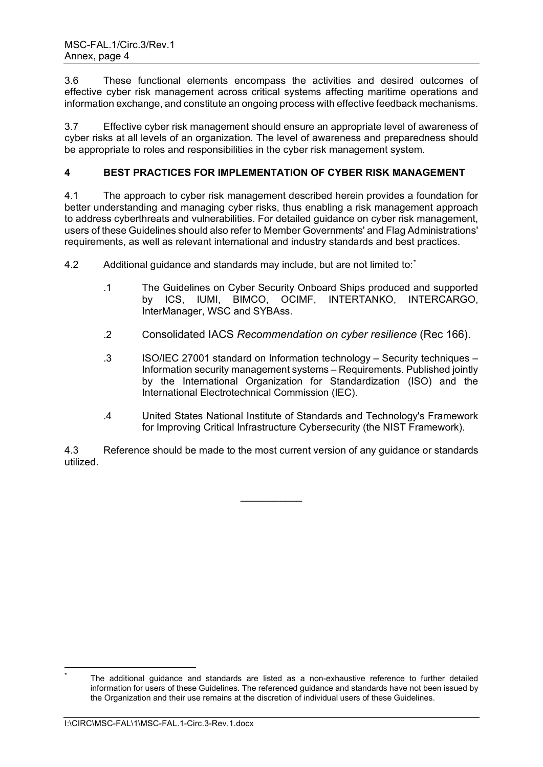3.6 These functional elements encompass the activities and desired outcomes of effective cyber risk management across critical systems affecting maritime operations and information exchange, and constitute an ongoing process with effective feedback mechanisms.

3.7 Effective cyber risk management should ensure an appropriate level of awareness of cyber risks at all levels of an organization. The level of awareness and preparedness should be appropriate to roles and responsibilities in the cyber risk management system.

# **4 BEST PRACTICES FOR IMPLEMENTATION OF CYBER RISK MANAGEMENT**

4.1 The approach to cyber risk management described herein provides a foundation for better understanding and managing cyber risks, thus enabling a risk management approach to address cyberthreats and vulnerabilities. For detailed guidance on cyber risk management, users of these Guidelines should also refer to Member Governments' and Flag Administrations' requirements, as well as relevant international and industry standards and best practices.

4.2 Additional guidance and standards may include, but are not limited to:

- .1 The Guidelines on Cyber Security Onboard Ships produced and supported by ICS, IUMI, BIMCO, OCIMF, INTERTANKO, INTERCARGO, InterManager, WSC and SYBAss.
- .2 Consolidated IACS *Recommendation on cyber resilience* (Rec 166).
- .3 ISO/IEC 27001 standard on Information technology Security techniques Information security management systems – Requirements. Published jointly by the International Organization for Standardization (ISO) and the International Electrotechnical Commission (IEC).
- .4 United States National Institute of Standards and Technology's Framework for Improving Critical Infrastructure Cyber*s*ecurity (the NIST Framework).

4.3 Reference should be made to the most current version of any guidance or standards utilized.

 $\frac{1}{2}$ 

<span id="page-6-0"></span>The additional guidance and standards are listed as a non-exhaustive reference to further detailed information for users of these Guidelines. The referenced guidance and standards have not been issued by the Organization and their use remains at the discretion of individual users of these Guidelines.